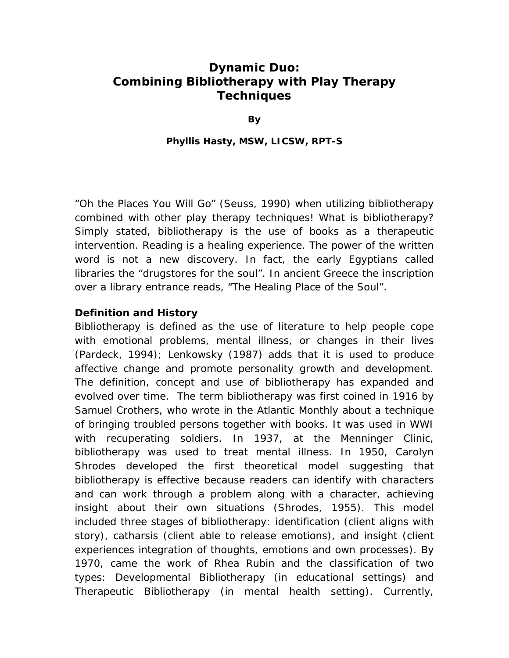# **Dynamic Duo: Combining Bibliotherapy with Play Therapy Techniques**

**By** 

#### **Phyllis Hasty, MSW, LICSW, RPT-S**

*"Oh the Places You Will Go"* (Seuss, 1990) when utilizing bibliotherapy combined with other play therapy techniques! What is bibliotherapy? Simply stated, bibliotherapy is the use of books as a therapeutic intervention. Reading is a healing experience. The power of the written word is not a new discovery. In fact, the early Egyptians called libraries the "drugstores for the soul". In ancient Greece the inscription over a library entrance reads, "The Healing Place of the Soul".

#### **Definition and History**

Bibliotherapy is defined as the use of literature to help people cope with emotional problems, mental illness, or changes in their lives (Pardeck, 1994); Lenkowsky (1987) adds that it is used to produce affective change and promote personality growth and development. The definition, concept and use of bibliotherapy has expanded and evolved over time. The term bibliotherapy was first coined in 1916 by Samuel Crothers, who wrote in the Atlantic Monthly about a technique of bringing troubled persons together with books. It was used in WWI with recuperating soldiers. In 1937, at the Menninger Clinic, bibliotherapy was used to treat mental illness. In 1950, Carolyn Shrodes developed the first theoretical model suggesting that bibliotherapy is effective because readers can identify with characters and can work through a problem along with a character, achieving insight about their own situations (Shrodes, 1955). This model included three stages of bibliotherapy: identification (client aligns with story), catharsis (client able to release emotions), and insight (client experiences integration of thoughts, emotions and own processes). By 1970, came the work of Rhea Rubin and the classification of two types: Developmental Bibliotherapy (in educational settings) and Therapeutic Bibliotherapy (in mental health setting). Currently,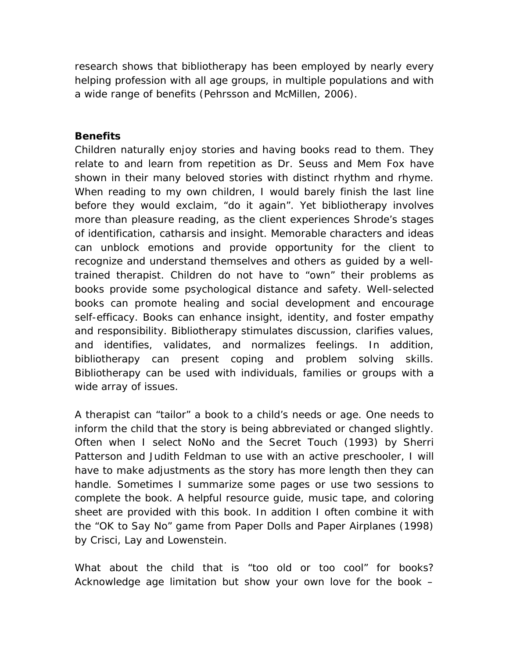research shows that bibliotherapy has been employed by nearly every helping profession with all age groups, in multiple populations and with a wide range of benefits (Pehrsson and McMillen, 2006).

#### **Benefits**

Children naturally enjoy stories and having books read to them. They relate to and learn from repetition as Dr. Seuss and Mem Fox have shown in their many beloved stories with distinct rhythm and rhyme. When reading to my own children, I would barely finish the last line before they would exclaim, "do it again". Yet bibliotherapy involves more than pleasure reading, as the client experiences Shrode's stages of identification, catharsis and insight. Memorable characters and ideas can unblock emotions and provide opportunity for the client to recognize and understand themselves and others as guided by a welltrained therapist. Children do not have to "own" their problems as books provide some psychological distance and safety. Well-selected books can promote healing and social development and encourage self-efficacy. Books can enhance insight, identity, and foster empathy and responsibility. Bibliotherapy stimulates discussion, clarifies values, and identifies, validates, and normalizes feelings. In addition, bibliotherapy can present coping and problem solving skills. Bibliotherapy can be used with individuals, families or groups with a wide array of issues.

A therapist can "tailor" a book to a child's needs or age. One needs to inform the child that the story is being abbreviated or changed slightly. Often when I select *NoNo and the Secret Touch* (1993) by Sherri Patterson and Judith Feldman to use with an active preschooler, I will have to make adjustments as the story has more length then they can handle. Sometimes I summarize some pages or use two sessions to complete the book. A helpful resource guide, music tape, and coloring sheet are provided with this book. In addition I often combine it with the "*OK to Say No*" game from *Paper Dolls and Paper Airplanes* (1998) by Crisci, Lay and Lowenstein.

What about the child that is "too old or too cool" for books? Acknowledge age limitation but show your own love for the book –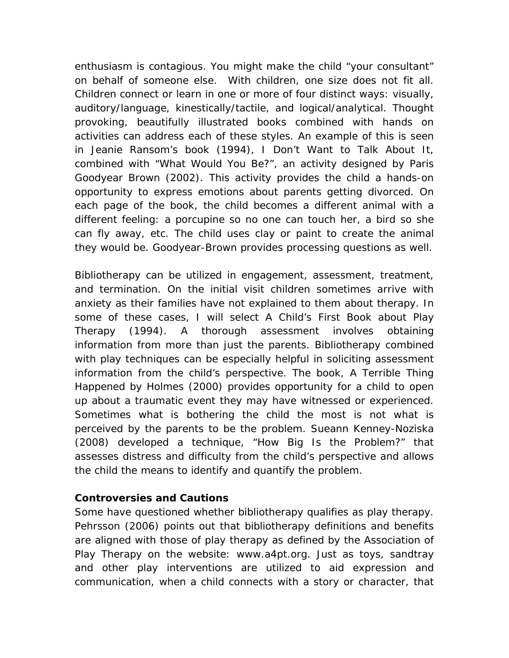enthusiasm is contagious. You might make the child "your consultant" on behalf of someone else. With children, one size does not fit all. Children connect or learn in one or more of four distinct ways: visually, auditory/language, kinestically/tactile, and logical/analytical. Thought provoking, beautifully illustrated books combined with hands on activities can address each of these styles. An example of this is seen in Jeanie Ransom's book (1994), *I Don't Want to Talk About It*, combined with "What Would You Be?", an activity designed by Paris Goodyear Brown (2002). This activity provides the child a hands-on opportunity to express emotions about parents getting divorced. On each page of the book, the child becomes a different animal with a different feeling: a porcupine so no one can touch her, a bird so she can fly away, etc. The child uses clay or paint to create the animal they would be. Goodyear-Brown provides processing questions as well.

Bibliotherapy can be utilized in engagement, assessment, treatment, and termination. On the initial visit children sometimes arrive with anxiety as their families have not explained to them about therapy. In some of these cases, I will select *A Child's First Book about Play Therapy (1994)*. A thorough assessment involves obtaining information from more than just the parents. Bibliotherapy combined with play techniques can be especially helpful in soliciting assessment information from the child's perspective. The book, *A Terrible Thing Happened* by Holmes (2000) provides opportunity for a child to open up about a traumatic event they may have witnessed or experienced. Sometimes what is bothering the child the most is not what is perceived by the parents to be the problem. Sueann Kenney-Noziska (2008) developed a technique, *"How Big Is the Problem?"* that assesses distress and difficulty from the child's perspective and allows the child the means to identify and quantify the problem.

### **Controversies and Cautions**

Some have questioned whether bibliotherapy qualifies as play therapy. Pehrsson (2006) points out that bibliotherapy definitions and benefits are aligned with those of play therapy as defined by the Association of Play Therapy on the website: www.a4pt.org. Just as toys, sandtray and other play interventions are utilized to aid expression and communication, when a child connects with a story or character, that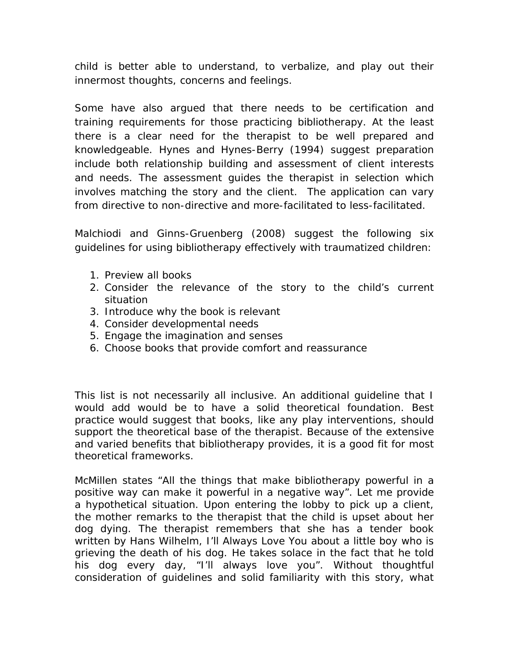child is better able to understand, to verbalize, and play out their innermost thoughts, concerns and feelings.

Some have also argued that there needs to be certification and training requirements for those practicing bibliotherapy. At the least there is a clear need for the therapist to be well prepared and knowledgeable. Hynes and Hynes-Berry (1994) suggest preparation include both relationship building and assessment of client interests and needs. The assessment guides the therapist in selection which involves matching the story and the client. The application can vary from directive to non-directive and more-facilitated to less-facilitated.

Malchiodi and Ginns-Gruenberg (2008) suggest the following six guidelines for using bibliotherapy effectively with traumatized children:

- 1. Preview all books
- 2. Consider the relevance of the story to the child's current situation
- 3. Introduce why the book is relevant
- 4. Consider developmental needs
- 5. Engage the imagination and senses
- 6. Choose books that provide comfort and reassurance

This list is not necessarily all inclusive. An additional guideline that I would add would be to have a solid theoretical foundation. Best practice would suggest that books, like any play interventions, should support the theoretical base of the therapist. Because of the extensive and varied benefits that bibliotherapy provides, it is a good fit for most theoretical frameworks.

McMillen states "All the things that make bibliotherapy powerful in a positive way can make it powerful in a negative way". Let me provide a hypothetical situation. Upon entering the lobby to pick up a client, the mother remarks to the therapist that the child is upset about her dog dying. The therapist remembers that she has a tender book written by Hans Wilhelm, *I'll Always Love You* about a little boy who is grieving the death of his dog. He takes solace in the fact that he told his dog every day, "I'll always love you". Without thoughtful consideration of guidelines and solid familiarity with this story, what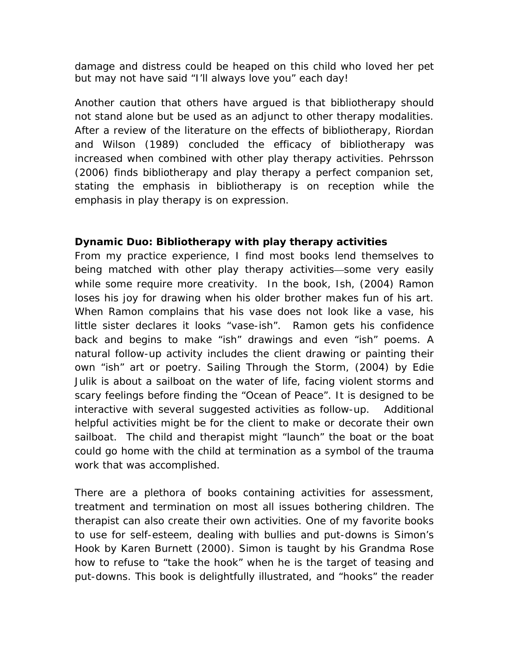damage and distress could be heaped on this child who loved her pet but may not have said "I'll always love you" each day!

Another caution that others have argued is that bibliotherapy should not stand alone but be used as an adjunct to other therapy modalities. After a review of the literature on the effects of bibliotherapy, Riordan and Wilson (1989) concluded the efficacy of bibliotherapy was increased when combined with other play therapy activities. Pehrsson (2006) finds bibliotherapy and play therapy a perfect companion set, stating the emphasis in bibliotherapy is on reception while the emphasis in play therapy is on expression.

## **Dynamic Duo: Bibliotherapy with play therapy activities**

From my practice experience, I find most books lend themselves to being matched with other play therapy activities—some very easily while some require more creativity. In the book, *Ish,* (2004) Ramon loses his joy for drawing when his older brother makes fun of his art. When Ramon complains that his vase does not look like a vase, his little sister declares it looks "vase-ish". Ramon gets his confidence back and begins to make "ish" drawings and even "ish" poems. A natural follow-up activity includes the client drawing or painting their own "ish" art or poetry. *Sailing Through the Storm,* (2004) by Edie Julik is about a sailboat on the water of life, facing violent storms and scary feelings before finding the "Ocean of Peace". It is designed to be interactive with several suggested activities as follow-up. Additional helpful activities might be for the client to make or decorate their own sailboat. The child and therapist might "launch" the boat or the boat could go home with the child at termination as a symbol of the trauma work that was accomplished.

There are a plethora of books containing activities for assessment, treatment and termination on most all issues bothering children. The therapist can also create their own activities. One of my favorite books to use for self-esteem, dealing with bullies and put-downs is *Simon's Hook* by Karen Burnett (2000). Simon is taught by his Grandma Rose how to refuse to "take the hook" when he is the target of teasing and put-downs. This book is delightfully illustrated, and "hooks" the reader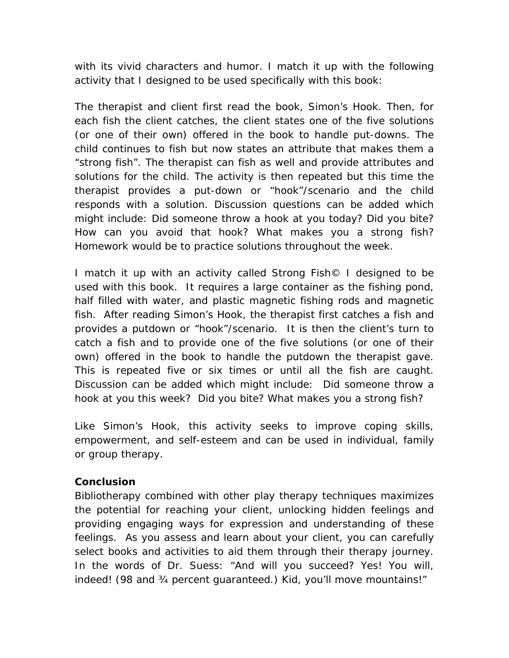with its vivid characters and humor. I match it up with the following activity that I designed to be used specifically with this book:

The therapist and client first read the book, *Simon's Hook*. Then, for each fish the client catches, the client states one of the five solutions (or one of their own) offered in the book to handle put-downs. The child continues to fish but now states an attribute that makes them a "strong fish". The therapist can fish as well and provide attributes and solutions for the child. The activity is then repeated but this time the therapist provides a put-down or "hook"/scenario and the child responds with a solution. Discussion questions can be added which might include: Did someone throw a hook at you today? Did you bite? How can you avoid that hook? What makes you a strong fish? Homework would be to practice solutions throughout the week.

I match it up with an activity called *Strong Fish©* I designed to be used with this book. It requires a large container as the fishing pond, half filled with water, and plastic magnetic fishing rods and magnetic fish. After reading *Simon's Hook,* the therapist first catches a fish and provides a putdown or "hook"/scenario. It is then the client's turn to catch a fish and to provide one of the five solutions (or one of their own) offered in the book to handle the putdown the therapist gave. This is repeated five or six times or until all the fish are caught. Discussion can be added which might include: Did someone throw a hook at you this week? Did you bite? What makes you a strong fish?

Like *Simon's Hook*, this activity seeks to improve coping skills, empowerment, and self-esteem and can be used in individual, family or group therapy.

### **Conclusion**

Bibliotherapy combined with other play therapy techniques maximizes the potential for reaching your client, unlocking hidden feelings and providing engaging ways for expression and understanding of these feelings. As you assess and learn about your client, you can carefully select books and activities to aid them through their therapy journey. In the words of Dr. Suess: "And will you succeed? Yes! You will, indeed! (98 and ¾ percent guaranteed.) Kid, you'll move mountains!"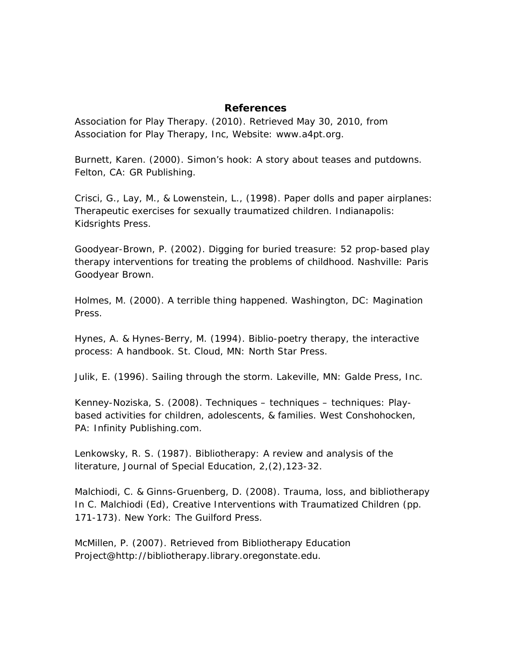#### **References**

Association for Play Therapy. (2010). Retrieved May 30, 2010, from Association for Play Therapy, Inc, Website: www.a4pt.org.

Burnett, Karen. (2000). *Simon's hook: A story about teases and putdowns*. Felton, CA: GR Publishing.

Crisci, G., Lay, M., & Lowenstein, L., (1998). *Paper dolls and paper airplanes: Therapeutic exercises for sexually traumatized children*. Indianapolis: Kidsrights Press.

Goodyear-Brown, P. (2002). *Digging for buried treasure: 52 prop-based play therapy interventions for treating the problems of childhood*. Nashville: Paris Goodyear Brown.

Holmes, M. (2000). A terrible thing happened. Washington, DC: Magination Press.

Hynes, A. & Hynes-Berry, M. (1994). Biblio-poetry therapy, the interactive process: A handbook. St. Cloud, MN: North Star Press.

Julik, E. (1996). *Sailing through the storm*. Lakeville, MN: Galde Press, Inc.

Kenney-Noziska, S. (2008). *Techniques – techniques – techniques: Playbased activities for children, adolescents, & families*. West Conshohocken, PA: Infinity Publishing.com.

Lenkowsky, R. S. (1987). Bibliotherapy: A review and analysis of the literature, *Journal of Special Education*, 2,(2),123-32.

Malchiodi, C. & Ginns-Gruenberg, D. (2008). Trauma, loss, and bibliotherapy In C. Malchiodi (Ed), *Creative Interventions with Traumatized Children* (pp. 171-173). New York: The Guilford Press.

McMillen, P. (2007). Retrieved from Bibliotherapy Education Project@http://bibliotherapy.library.oregonstate.edu.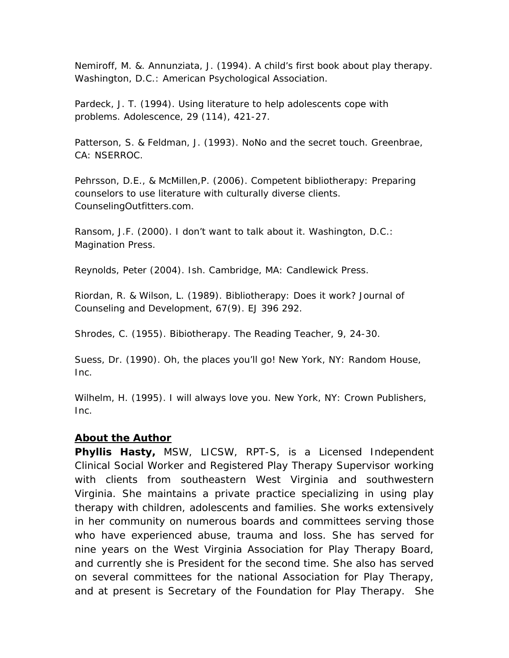Nemiroff, M. &. Annunziata, J. (1994). *A child's first book about play therapy*. Washington, D.C.: American Psychological Association.

Pardeck, J. T. (1994). Using literature to help adolescents cope with problems. *Adolescence*, 29 (114), 421-27.

Patterson, S. & Feldman, J. (1993). *NoNo and the secret touch*. Greenbrae, CA: NSERROC.

Pehrsson, D.E., & McMillen,P. (2006). *Competent bibliotherapy: Preparing counselors to use literature with culturally diverse clients*. CounselingOutfitters.com.

Ransom, J.F. (2000). *I don't want to talk about it*. Washington, D.C.: Magination Press.

Reynolds, Peter (2004). *Ish*. Cambridge, MA: Candlewick Press.

Riordan, R. & Wilson, L. (1989). Bibliotherapy: Does it work? *Journal of Counseling and Development*, 67(9). EJ 396 292.

Shrodes, C. (1955). Bibiotherapy. *The Reading Teacher*, 9, 24-30.

Suess, Dr. (1990). *Oh, the places you'll go!* New York, NY: Random House, Inc.

Wilhelm, H. (1995). *I will always love you*. New York, NY: Crown Publishers, Inc.

### **About the Author**

*Phyllis Hasty,* MSW, LICSW, RPT-S, is a Licensed Independent Clinical Social Worker and Registered Play Therapy Supervisor working with clients from southeastern West Virginia and southwestern Virginia. She maintains a private practice specializing in using play therapy with children, adolescents and families. She works extensively in her community on numerous boards and committees serving those who have experienced abuse, trauma and loss. She has served for nine years on the West Virginia Association for Play Therapy Board, and currently she is President for the second time. She also has served on several committees for the national Association for Play Therapy, and at present is Secretary of the Foundation for Play Therapy. She